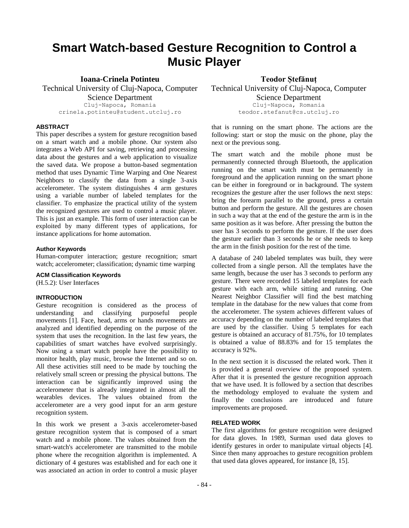# **Smart Watch-based Gesture Recognition to Control a Music Player**

**Ioana-Crinela Potinteu**

Technical University of Cluj-Napoca, Computer Science Department Cluj-Napoca, Romania crinela.potinteu@student.utcluj.ro

# **ABSTRACT**

This paper describes a system for gesture recognition based on a smart watch and a mobile phone. Our system also integrates a Web API for saving, retrieving and processing data about the gestures and a web application to visualize the saved data. We propose a button-based segmentation method that uses Dynamic Time Warping and One Nearest Neighbors to classify the data from a single 3-axis accelerometer. The system distinguishes 4 arm gestures using a variable number of labeled templates for the classifier. To emphasize the practical utility of the system the recognized gestures are used to control a music player. This is just an example. This form of user interaction can be exploited by many different types of applications, for instance applications for home automation.

# **Author Keywords**

Human-computer interaction; gesture recognition; smart watch; accelerometer; classification; dynamic time warping

**ACM Classification Keywords**

(H.5.2): User Interfaces

# **INTRODUCTION**

Gesture recognition is considered as the process of understanding and classifying purposeful people movements [1]. Face, head, arms or hands movements are analyzed and identified depending on the purpose of the system that uses the recognition. In the last few years, the capabilities of smart watches have evolved surprisingly. Now using a smart watch people have the possibility to monitor health, play music, browse the Internet and so on. All these activities still need to be made by touching the relatively small screen or pressing the physical buttons. The interaction can be significantly improved using the accelerometer that is already integrated in almost all the wearables devices. The values obtained from the accelerometer are a very good input for an arm gesture recognition system.

In this work we present a 3-axis accelerometer-based gesture recognition system that is composed of a smart watch and a mobile phone. The values obtained from the smart-watch's accelerometer are transmitted to the mobile phone where the recognition algorithm is implemented. A dictionary of 4 gestures was established and for each one it was associated an action in order to control a music player **Teodor Ștefănuț**

Technical University of Cluj-Napoca, Computer Science Department Cluj-Napoca, Romania teodor.stefanut@cs.utcluj.ro

that is running on the smart phone. The actions are the following: start or stop the music on the phone, play the next or the previous song.

The smart watch and the mobile phone must be permanently connected through Bluetooth, the application running on the smart watch must be permanently in foreground and the application running on the smart phone can be either in foreground or in background. The system recognizes the gesture after the user follows the next steps: bring the forearm parallel to the ground, press a certain button and perform the gesture. All the gestures are chosen in such a way that at the end of the gesture the arm is in the same position as it was before. After pressing the button the user has 3 seconds to perform the gesture. If the user does the gesture earlier than 3 seconds he or she needs to keep the arm in the finish position for the rest of the time.

A database of 240 labeled templates was built, they were collected from a single person. All the templates have the same length, because the user has 3 seconds to perform any gesture. There were recorded 15 labeled templates for each gesture with each arm, while sitting and running. One Nearest Neighbor Classifier will find the best matching template in the database for the new values that come from the accelerometer. The system achieves different values of accuracy depending on the number of labeled templates that are used by the classifier. Using 5 templates for each gesture is obtained an accuracy of 81.75%, for 10 templates is obtained a value of 88.83% and for 15 templates the accuracy is 92%.

In the next section it is discussed the related work. Then it is provided a general overview of the proposed system. After that it is presented the gesture recognition approach that we have used. It is followed by a section that describes the methodology employed to evaluate the system and finally the conclusions are introduced and future improvements are proposed.

# **RELATED WORK**

The first algorithms for gesture recognition were designed for data gloves. In 1989, Surman used data gloves to identify gestures in order to manipulate virtual objects [4]. Since then many approaches to gesture recognition problem that used data gloves appeared, for instance [8, 15].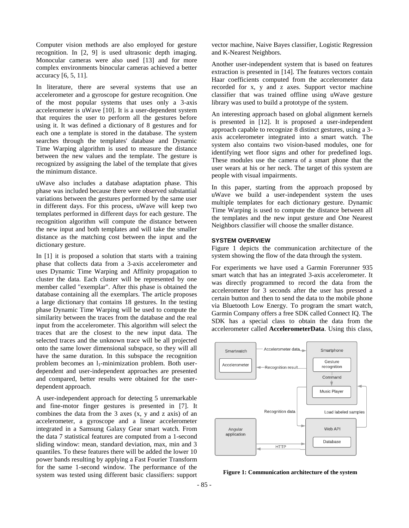Computer vision methods are also employed for gesture recognition. In [2, 9] is used ultrasonic depth imaging. Monocular cameras were also used [13] and for more complex environments binocular cameras achieved a better accuracy [6, 5, 11].

In literature, there are several systems that use an accelerometer and a gyroscope for gesture recognition. One of the most popular systems that uses only a 3-axis accelerometer is uWave [10]. It is a user-dependent system that requires the user to perform all the gestures before using it. It was defined a dictionary of 8 gestures and for each one a template is stored in the database. The system searches through the templates' database and Dynamic Time Warping algorithm is used to measure the distance between the new values and the template. The gesture is recognized by assigning the label of the template that gives the minimum distance.

uWave also includes a database adaptation phase. This phase was included because there were observed substantial variations between the gestures performed by the same user in different days. For this process, uWave will keep two templates performed in different days for each gesture. The recognition algorithm will compute the distance between the new input and both templates and will take the smaller distance as the matching cost between the input and the dictionary gesture.

In [1] it is proposed a solution that starts with a training phase that collects data from a 3-axis accelerometer and uses Dynamic Time Warping and Affinity propagation to cluster the data. Each cluster will be represented by one member called "exemplar". After this phase is obtained the database containing all the exemplars. The article proposes a large dictionary that contains 18 gestures. In the testing phase Dynamic Time Warping will be used to compute the similarity between the traces from the database and the real input from the accelerometer. This algorithm will select the traces that are the closest to the new input data. The selected traces and the unknown trace will be all projected onto the same lower dimensional subspace, so they will all have the same duration. In this subspace the recognition problem becomes an l<sub>1</sub>-minimization problem. Both userdependent and user-independent approaches are presented and compared, better results were obtained for the userdependent approach.

A user-independent approach for detecting 5 unremarkable and fine-motor finger gestures is presented in [7]. It combines the data from the 3 axes (x, y and z axis) of an accelerometer, a gyroscope and a linear accelerometer integrated in a Samsung Galaxy Gear smart watch. From the data 7 statistical features are computed from a 1-second sliding window: mean, standard deviation, max, min and 3 quantiles. To these features there will be added the lower 10 power bands resulting by applying a Fast Fourier Transform for the same 1-second window. The performance of the system was tested using different basic classifiers: support

vector machine, Naive Bayes classifier, Logistic Regression and K-Nearest Neighbors.

Another user-independent system that is based on features extraction is presented in [14]. The features vectors contain Haar coefficients computed from the accelerometer data recorded for x, y and z axes. Support vector machine classifier that was trained offline using uWave gesture library was used to build a prototype of the system.

An interesting approach based on global alignment kernels is presented in [12]. It is proposed a user-independent approach capable to recognize 8 distinct gestures, using a 3 axis accelerometer integrated into a smart watch. The system also contains two vision-based modules, one for identifying wet floor signs and other for predefined logs. These modules use the camera of a smart phone that the user wears at his or her neck. The target of this system are people with visual impairments.

In this paper, starting from the approach proposed by uWave we build a user-independent system the uses multiple templates for each dictionary gesture. Dynamic Time Warping is used to compute the distance between all the templates and the new input gesture and One Nearest Neighbors classifier will choose the smaller distance.

#### **SYSTEM OVERVIEW**

Figure 1 depicts the communication architecture of the system showing the flow of the data through the system.

For experiments we have used a Garmin Forerunner 935 smart watch that has an integrated 3-axis accelerometer. It was directly programmed to record the data from the accelerometer for 3 seconds after the user has pressed a certain button and then to send the data to the mobile phone via Bluetooth Low Energy. To program the smart watch, Garmin Company offers a free SDK called Connect IQ. The SDK has a special class to obtain the data from the accelerometer called **AccelerometerData**. Using this class,



**Figure 1: Communication architecture of the system**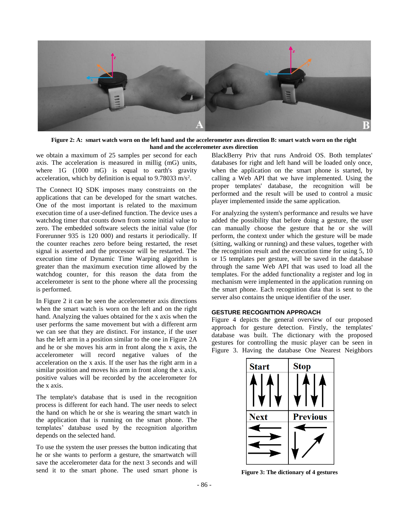

**Figure 2: A: smart watch worn on the left hand and the accelerometer axes direction B: smart watch worn on the right hand and the accelerometer axes direction**

we obtain a maximum of 25 samples per second for each axis. The acceleration is measured in millig (mG) units, where 1G (1000 mG) is equal to earth's gravity acceleration, which by definition is equal to  $9.78033$  m/s<sup>2</sup>.

The Connect IQ SDK imposes many constraints on the applications that can be developed for the smart watches. One of the most important is related to the maximum execution time of a user-defined function. The device uses a watchdog timer that counts down from some initial value to zero. The embedded software selects the initial value (for Forerunner 935 is 120 000) and restarts it periodically. If the counter reaches zero before being restarted, the reset signal is asserted and the processor will be restarted. The execution time of Dynamic Time Warping algorithm is greater than the maximum execution time allowed by the watchdog counter, for this reason the data from the accelerometer is sent to the phone where all the processing is performed.

In Figure 2 it can be seen the accelerometer axis directions when the smart watch is worn on the left and on the right hand. Analyzing the values obtained for the x axis when the user performs the same movement but with a different arm we can see that they are distinct. For instance, if the user has the left arm in a position similar to the one in Figure 2A and he or she moves his arm in front along the x axis, the accelerometer will record negative values of the acceleration on the x axis. If the user has the right arm in a similar position and moves his arm in front along the x axis, positive values will be recorded by the accelerometer for the x axis.

The template's database that is used in the recognition process is different for each hand. The user needs to select the hand on which he or she is wearing the smart watch in the application that is running on the smart phone. The templates' database used by the recognition algorithm depends on the selected hand.

To use the system the user presses the button indicating that he or she wants to perform a gesture, the smartwatch will save the accelerometer data for the next 3 seconds and will send it to the smart phone. The used smart phone is

BlackBerry Priv that runs Android OS. Both templates' databases for right and left hand will be loaded only once, when the application on the smart phone is started, by calling a Web API that we have implemented. Using the proper templates' database, the recognition will be performed and the result will be used to control a music player implemented inside the same application.

For analyzing the system's performance and results we have added the possibility that before doing a gesture, the user can manually choose the gesture that he or she will perform, the context under which the gesture will be made (sitting, walking or running) and these values, together with the recognition result and the execution time for using 5, 10 or 15 templates per gesture, will be saved in the database through the same Web API that was used to load all the templates. For the added functionality a register and log in mechanism were implemented in the application running on the smart phone. Each recognition data that is sent to the server also contains the unique identifier of the user.

# **GESTURE RECOGNITION APPROACH**

Figure 4 depicts the general overview of our proposed approach for gesture detection. Firstly, the templates' database was built. The dictionary with the proposed gestures for controlling the music player can be seen in Figure 3. Having the database One Nearest Neighbors



**Figure 3: The dictionary of 4 gestures**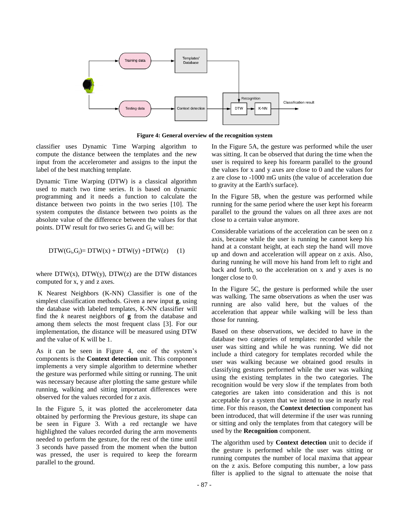

**Figure 4: General overview of the recognition system**

classifier uses Dynamic Time Warping algorithm to compute the distance between the templates and the new input from the accelerometer and assigns to the input the label of the best matching template.

Dynamic Time Warping (DTW) is a classical algorithm used to match two time series. It is based on dynamic programming and it needs a function to calculate the distance between two points in the two series [10]. The system computes the distance between two points as the absolute value of the difference between the values for that points. DTW result for two series  $G_i$  and  $G_i$  will be:

$$
DTW(G_i,G_j) = DTW(x) + DTW(y) + DTW(z) \qquad (1)
$$

where  $DTW(x)$ ,  $DTW(y)$ ,  $DTW(z)$  are the DTW distances computed for x, y and z axes.

K Nearest Neighbors (K-NN) Classifier is one of the simplest classification methods. Given a new input **g**, using the database with labeled templates, K-NN classifier will find the *k* nearest neighbors of **g** from the database and among them selects the most frequent class [3]. For our implementation, the distance will be measured using DTW and the value of K will be 1.

As it can be seen in Figure 4, one of the system's components is the **Context detection** unit. This component implements a very simple algorithm to determine whether the gesture was performed while sitting or running. The unit was necessary because after plotting the same gesture while running, walking and sitting important differences were observed for the values recorded for z axis.

In the Figure 5, it was plotted the accelerometer data obtained by performing the Previous gesture, its shape can be seen in Figure 3. With a red rectangle we have highlighted the values recorded during the arm movements needed to perform the gesture, for the rest of the time until 3 seconds have passed from the moment when the button was pressed, the user is required to keep the forearm parallel to the ground.

In the Figure 5A, the gesture was performed while the user was sitting. It can be observed that during the time when the user is required to keep his forearm parallel to the ground the values for x and y axes are close to 0 and the values for z are close to -1000 mG units (the value of acceleration due to gravity at the Earth's surface).

In the Figure 5B, when the gesture was performed while running for the same period where the user kept his forearm parallel to the ground the values on all three axes are not close to a certain value anymore.

Considerable variations of the acceleration can be seen on z axis, because while the user is running he cannot keep his hand at a constant height, at each step the hand will move up and down and acceleration will appear on z axis. Also, during running he will move his hand from left to right and back and forth, so the acceleration on x and y axes is no longer close to 0.

In the Figure 5C, the gesture is performed while the user was walking. The same observations as when the user was running are also valid here, but the values of the acceleration that appear while walking will be less than those for running.

Based on these observations, we decided to have in the database two categories of templates: recorded while the user was sitting and while he was running. We did not include a third category for templates recorded while the user was walking because we obtained good results in classifying gestures performed while the user was walking using the existing templates in the two categories. The recognition would be very slow if the templates from both categories are taken into consideration and this is not acceptable for a system that we intend to use in nearly real time. For this reason, the **Context detection** component has been introduced, that will determine if the user was running or sitting and only the templates from that category will be used by the **Recognition** component.

The algorithm used by **Context detection** unit to decide if the gesture is performed while the user was sitting or running computes the number of local maxima that appear on the z axis. Before computing this number, a low pass filter is applied to the signal to attenuate the noise that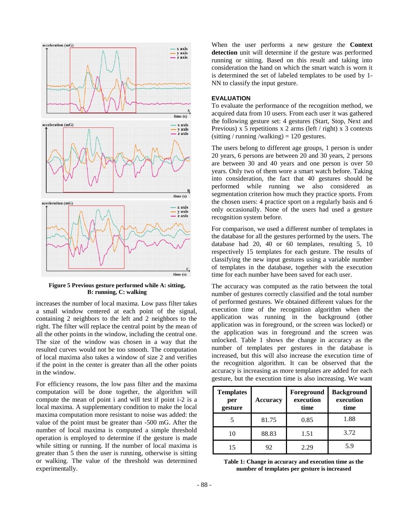

**Figure 5 Previous gesture performed while A: sitting, B: running, C: walking**

increases the number of local maxima. Low pass filter takes a small window centered at each point of the signal, containing 2 neighbors to the left and 2 neighbors to the right. The filter will replace the central point by the mean of all the other points in the window, including the central one. The size of the window was chosen in a way that the resulted curves would not be too smooth. The computation of local maxima also takes a window of size 2 and verifies if the point in the center is greater than all the other points in the window.

For efficiency reasons, the low pass filter and the maxima computation will be done together, the algorithm will compute the mean of point i and will test if point i-2 is a local maxima. A supplementary condition to make the local maxima computation more resistant to noise was added: the value of the point must be greater than -500 mG. After the number of local maxima is computed a simple threshold operation is employed to determine if the gesture is made while sitting or running. If the number of local maxima is greater than 5 then the user is running, otherwise is sitting or walking. The value of the threshold was determined experimentally.

When the user performs a new gesture the **Context detection** unit will determine if the gesture was performed running or sitting. Based on this result and taking into consideration the hand on which the smart watch is worn it is determined the set of labeled templates to be used by 1- NN to classify the input gesture.

# **EVALUATION**

To evaluate the performance of the recognition method, we acquired data from 10 users. From each user it was gathered the following gesture set: 4 gestures (Start, Stop, Next and Previous) x 5 repetitions x 2 arms (left / right) x 3 contexts  $(sitting / running / walking) = 120$  gestures.

The users belong to different age groups, 1 person is under 20 years, 6 persons are between 20 and 30 years, 2 persons are between 30 and 40 years and one person is over 50 years. Only two of them wore a smart watch before. Taking into consideration, the fact that 40 gestures should be performed while running we also considered as segmentation criterion how much they practice sports. From the chosen users: 4 practice sport on a regularly basis and 6 only occasionally. None of the users had used a gesture recognition system before.

For comparison, we used a different number of templates in the database for all the gestures performed by the users. The database had 20, 40 or 60 templates, resulting 5, 10 respectively 15 templates for each gesture. The results of classifying the new input gestures using a variable number of templates in the database, together with the execution time for each number have been saved for each user.

The accuracy was computed as the ratio between the total number of gestures correctly classified and the total number of performed gestures. We obtained different values for the execution time of the recognition algorithm when the application was running in the background (other application was in foreground, or the screen was locked) or the application was in foreground and the screen was unlocked. Table 1 shows the change in accuracy as the number of templates per gestures in the database is increased, but this will also increase the execution time of the recognition algorithm. It can be observed that the accuracy is increasing as more templates are added for each gesture, but the execution time is also increasing. We want

| <b>Templates</b><br>per<br>gesture | <b>Accuracy</b> | Foreground<br>execution<br>time | <b>Background</b><br>execution<br>time |
|------------------------------------|-----------------|---------------------------------|----------------------------------------|
|                                    | 81.75           | 0.85                            | 1.88                                   |
| 10                                 | 88.83           | 1.51                            | 3.72                                   |
| 15                                 | 92              | 2.29                            | 5.9                                    |

**Table 1: Change in accuracy and execution time as the number of templates per gesture is increased**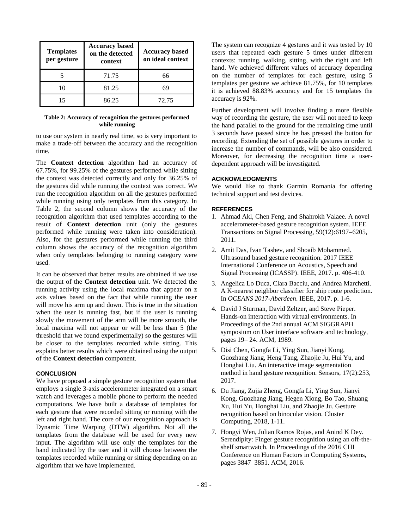| <b>Templates</b><br>per gesture | <b>Accuracy based</b><br>on the detected<br>context | <b>Accuracy based</b><br>on ideal context |
|---------------------------------|-----------------------------------------------------|-------------------------------------------|
|                                 | 71.75                                               | 66                                        |
| 10                              | 81.25                                               |                                           |
|                                 | 86.25                                               | 72.75                                     |

### **Table 2: Accuracy of recognition the gestures performed while running**

to use our system in nearly real time, so is very important to make a trade-off between the accuracy and the recognition time.

The **Context detection** algorithm had an accuracy of 67.75%, for 99.25% of the gestures performed while sitting the context was detected correctly and only for 36.25% of the gestures did while running the context was correct. We run the recognition algorithm on all the gestures performed while running using only templates from this category. In Table 2, the second column shows the accuracy of the recognition algorithm that used templates according to the result of **Context detection** unit (only the gestures performed while running were taken into consideration). Also, for the gestures performed while running the third column shows the accuracy of the recognition algorithm when only templates belonging to running category were used.

It can be observed that better results are obtained if we use the output of the **Context detection** unit. We detected the running activity using the local maxima that appear on z axis values based on the fact that while running the user will move his arm up and down. This is true in the situation when the user is running fast, but if the user is running slowly the movement of the arm will be more smooth, the local maxima will not appear or will be less than 5 (the threshold that we found experimentally) so the gestures will be closer to the templates recorded while sitting. This explains better results which were obtained using the output of the **Context detection** component.

# **CONCLUSION**

We have proposed a simple gesture recognition system that employs a single 3-axis accelerometer integrated on a smart watch and leverages a mobile phone to perform the needed computations. We have built a database of templates for each gesture that were recorded sitting or running with the left and right hand. The core of our recognition approach is Dynamic Time Warping (DTW) algorithm. Not all the templates from the database will be used for every new input. The algorithm will use only the templates for the hand indicated by the user and it will choose between the templates recorded while running or sitting depending on an algorithm that we have implemented.

The system can recognize 4 gestures and it was tested by 10 users that repeated each gesture 5 times under different contexts: running, walking, sitting, with the right and left hand. We achieved different values of accuracy depending on the number of templates for each gesture, using 5 templates per gesture we achieve 81.75%, for 10 templates it is achieved 88.83% accuracy and for 15 templates the accuracy is 92%.

Further development will involve finding a more flexible way of recording the gesture, the user will not need to keep the hand parallel to the ground for the remaining time until 3 seconds have passed since he has pressed the button for recording. Extending the set of possible gestures in order to increase the number of commands, will be also considered. Moreover, for decreasing the recognition time a userdependent approach will be investigated.

#### **ACKNOWLEDGMENTS**

We would like to thank Garmin Romania for offering technical support and test devices.

## **REFERENCES**

- 1. Ahmad Akl, Chen Feng, and Shahrokh Valaee. A novel accelerometer-based gesture recognition system. IEEE Transactions on Signal Processing, 59(12):6197–6205, 2011.
- 2. Amit Das, Ivan Tashev, and Shoaib Mohammed. Ultrasound based gesture recognition. 2017 IEEE International Conference on Acoustics, Speech and Signal Processing (ICASSP). IEEE, 2017. p. 406-410.
- 3. Angelica Lo Duca, Clara Bacciu, and Andrea Marchetti. A K-nearest neighbor classifier for ship route prediction. In *OCEANS 2017-Aberdeen*. IEEE, 2017. p. 1-6.
- 4. David J Sturman, David Zeltzer, and Steve Pieper. Hands-on interaction with virtual environments. In Proceedings of the 2nd annual ACM SIGGRAPH symposium on User interface software and technology, pages 19– 24. ACM, 1989.
- 5. Disi Chen, Gongfa Li, Ying Sun, Jianyi Kong, Guozhang Jiang, Heng Tang, Zhaojie Ju, Hui Yu, and Honghai Liu. An interactive image segmentation method in hand gesture recognition. Sensors, 17(2):253, 2017.
- 6. Du Jiang, Zujia Zheng, Gongfa Li, Ying Sun, Jianyi Kong, Guozhang Jiang, Hegen Xiong, Bo Tao, Shuang Xu, Hui Yu, Honghai Liu, and Zhaojie Ju. Gesture recognition based on binocular vision. Cluster Computing, 2018, 1-11.
- 7. Hongyi Wen, Julian Ramos Rojas, and Anind K Dey. Serendipity: Finger gesture recognition using an off-theshelf smartwatch. In Proceedings of the 2016 CHI Conference on Human Factors in Computing Systems, pages 3847–3851. ACM, 2016.